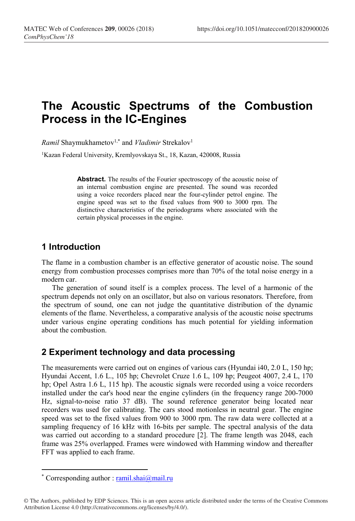# The Acoustic Spectrums of the Combustion Process in the IC-Engines

*Ramil* Shaymukhametov<sup>1,\*</sup> and *Vladimir* Strekalov<sup>1</sup>

<sup>1</sup>Kazan Federal University, Kremlyovskaya St., 18, Kazan, 420008, Russia

Abstract. The results of the Fourier spectroscopy of the acoustic noise of an internal combustion engine are presented. The sound was recorded using a voice recorders placed near the four-cylinder petrol engine. The engine speed was set to the fixed values from 900 to 3000 rpm. The distinctive characteristics of the periodograms where associated with the certain physical processes in the engine.

#### 1 Introduction

The flame in a combustion chamber is an effective generator of acoustic noise. The sound energy from combustion processes comprises more than 70% of the total noise energy in a modern car.

The generation of sound itself is a complex process. The level of a harmonic of the spectrum depends not only on an oscillator, but also on various resonators. Therefore, from the spectrum of sound, one can not judge the quantitative distribution of the dynamic elements of the flame. Nevertheless, a comparative analysis of the acoustic noise spectrums under various engine operating conditions has much potential for yielding information about the combustion.

## 2 Experiment technology and data processing

The measurements were carried out on engines of various cars (Hyundai i40, 2.0 L, 150 hp; Hyundai Accent, 1.6 L., 105 hp; Chevrolet Cruze 1.6 L, 109 hp; Peugeot 4007, 2.4 L, 170 hp; Opel Astra 1.6 L, 115 hp). The acoustic signals were recorded using a voice recorders installed under the car's hood near the engine cylinders (in the frequency range 200-7000 Hz, signal-to-noise ratio 37 dB). The sound reference generator being located near recorders was used for calibrating. The cars stood motionless in neutral gear. The engine speed was set to the fixed values from 900 to 3000 rpm. The raw data were collected at a sampling frequency of 16 kHz with 16-bits per sample. The spectral analysis of the data was carried out according to a standard procedure [2]. The frame length was 2048, each frame was 25% overlapped. Frames were windowed with Hamming window and thereafter FFT was applied to each frame.

-

<sup>\*</sup> Corresponding author : ramil.shai@mail.ru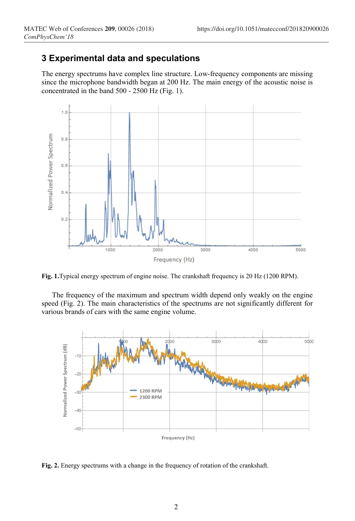## 3 Experimental data and speculations

The energy spectrums have complex line structure. Low-frequency components are missing since the microphone bandwidth began at 200 Hz. The main energy of the acoustic noise is concentrated in the band 500 - 2500 Hz (Fig. 1).



Fig. 1.Typical energy spectrum of engine noise. The crankshaft frequency is 20 Hz (1200 RPM).

The frequency of the maximum and spectrum width depend only weakly on the engine speed (Fig. 2). The main characteristics of the spectrums are not significantly different for various brands of cars with the same engine volume.



Fig. 2. Energy spectrums with a change in the frequency of rotation of the crankshaft.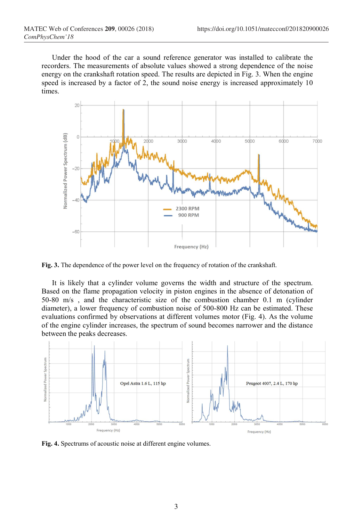Under the hood of the car a sound reference generator was installed to calibrate the recorders. The measurements of absolute values showed a strong dependence of the noise energy on the crankshaft rotation speed. The results are depicted in Fig. 3. When the engine speed is increased by a factor of 2, the sound noise energy is increased approximately 10 times.



Fig. 3. The dependence of the power level on the frequency of rotation of the crankshaft.

It is likely that a cylinder volume governs the width and structure of the spectrum. Based on the flame propagation velocity in piston engines in the absence of detonation of 50-80 m/s , and the characteristic size of the combustion chamber 0.1 m (cylinder diameter), a lower frequency of combustion noise of 500-800 Hz can be estimated. These evaluations confirmed by observations at different volumes motor (Fig. 4). As the volume of the engine cylinder increases, the spectrum of sound becomes narrower and the distance between the peaks decreases.



Fig. 4. Spectrums of acoustic noise at different engine volumes.